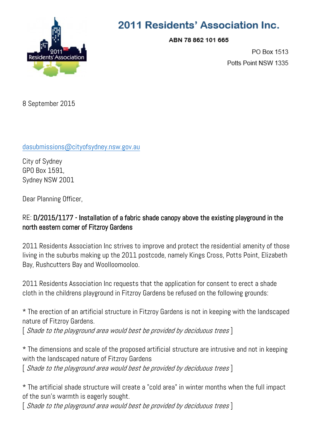

## 2011 Residents' Association Inc.

ABN 78 862 101 665

PO Box 1513 Potts Point NSW 1335

8 September 2015

## [dasubmissions@cityofsydney.nsw.gov.au](mailto:dasubmissions@cityofsydney.nsw.gov.au)

City of Sydney GPO Box 1591, Sydney NSW 2001

Dear Planning Officer,

## RE: D/2015/1177 - Installation of a fabric shade canopy above the existing playground in the north eastern corner of Fitzroy Gardens

2011 Residents Association Inc strives to improve and protect the residential amenity of those living in the suburbs making up the 2011 postcode, namely Kings Cross, Potts Point, Elizabeth Bay, Rushcutters Bay and Woolloomooloo.

2011 Residents Association Inc requests that the application for consent to erect a shade cloth in the childrens playground in Fitzroy Gardens be refused on the following grounds:

\* The erection of an artificial structure in Fitzroy Gardens is not in keeping with the landscaped nature of Fitzroy Gardens.

 $\lceil$  Shade to the playground area would best be provided by deciduous trees  $\rceil$ 

\* The dimensions and scale of the proposed artificial structure are intrusive and not in keeping with the landscaped nature of Fitzroy Gardens

[ Shade to the playground area would best be provided by deciduous trees ]

\* The artificial shade structure will create a "cold area" in winter months when the full impact of the sun's warmth is eagerly sought.

[ Shade to the playground area would best be provided by deciduous trees ]